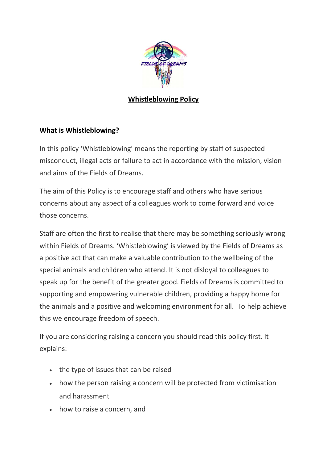

# **Whistleblowing Policy**

#### **What is Whistleblowing?**

In this policy 'Whistleblowing' means the reporting by staff of suspected misconduct, illegal acts or failure to act in accordance with the mission, vision and aims of the Fields of Dreams.

The aim of this Policy is to encourage staff and others who have serious concerns about any aspect of a colleagues work to come forward and voice those concerns.

Staff are often the first to realise that there may be something seriously wrong within Fields of Dreams. 'Whistleblowing' is viewed by the Fields of Dreams as a positive act that can make a valuable contribution to the wellbeing of the special animals and children who attend. It is not disloyal to colleagues to speak up for the benefit of the greater good. Fields of Dreams is committed to supporting and empowering vulnerable children, providing a happy home for the animals and a positive and welcoming environment for all. To help achieve this we encourage freedom of speech.

If you are considering raising a concern you should read this policy first. It explains:

- the type of issues that can be raised
- how the person raising a concern will be protected from victimisation and harassment
- how to raise a concern, and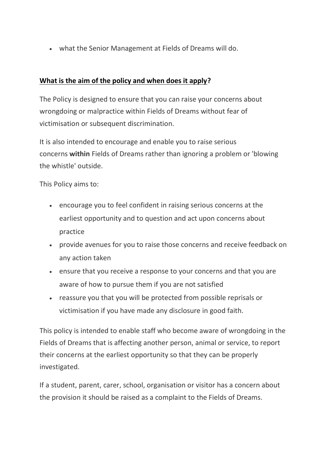• what the Senior Management at Fields of Dreams will do.

### **What is the aim of the policy and when does it apply?**

The Policy is designed to ensure that you can raise your concerns about wrongdoing or malpractice within Fields of Dreams without fear of victimisation or subsequent discrimination.

It is also intended to encourage and enable you to raise serious concerns **within** Fields of Dreams rather than ignoring a problem or 'blowing the whistle' outside.

This Policy aims to:

- encourage you to feel confident in raising serious concerns at the earliest opportunity and to question and act upon concerns about practice
- provide avenues for you to raise those concerns and receive feedback on any action taken
- ensure that you receive a response to your concerns and that you are aware of how to pursue them if you are not satisfied
- reassure you that you will be protected from possible reprisals or victimisation if you have made any disclosure in good faith.

This policy is intended to enable staff who become aware of wrongdoing in the Fields of Dreams that is affecting another person, animal or service, to report their concerns at the earliest opportunity so that they can be properly investigated.

If a student, parent, carer, school, organisation or visitor has a concern about the provision it should be raised as a complaint to the Fields of Dreams.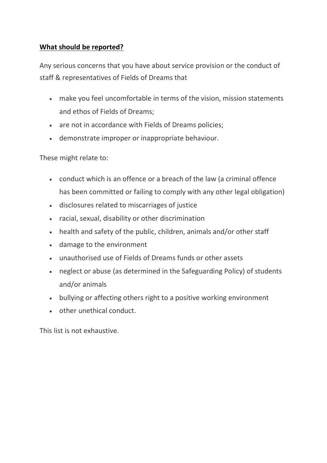# **What should be reported?**

Any serious concerns that you have about service provision or the conduct of staff & representatives of Fields of Dreams that

- make you feel uncomfortable in terms of the vision, mission statements and ethos of Fields of Dreams;
- are not in accordance with Fields of Dreams policies;
- demonstrate improper or inappropriate behaviour.

These might relate to:

- conduct which is an offence or a breach of the law (a criminal offence has been committed or failing to comply with any other legal obligation)
- disclosures related to miscarriages of justice
- racial, sexual, disability or other discrimination
- health and safety of the public, children, animals and/or other staff
- damage to the environment
- unauthorised use of Fields of Dreams funds or other assets
- neglect or abuse (as determined in the Safeguarding Policy) of students and/or animals
- bullying or affecting others right to a positive working environment
- other unethical conduct.

This list is not exhaustive.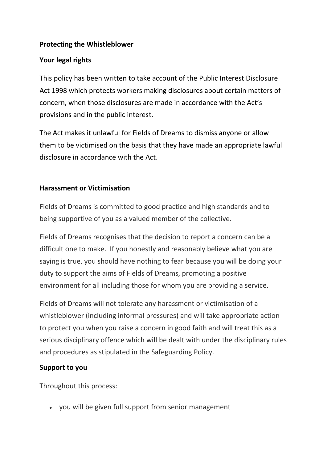### **Protecting the Whistleblower**

#### **Your legal rights**

This policy has been written to take account of the Public Interest Disclosure Act 1998 which protects workers making disclosures about certain matters of concern, when those disclosures are made in accordance with the Act's provisions and in the public interest.

The Act makes it unlawful for Fields of Dreams to dismiss anyone or allow them to be victimised on the basis that they have made an appropriate lawful disclosure in accordance with the Act.

# **Harassment or Victimisation**

Fields of Dreams is committed to good practice and high standards and to being supportive of you as a valued member of the collective.

Fields of Dreams recognises that the decision to report a concern can be a difficult one to make. If you honestly and reasonably believe what you are saying is true, you should have nothing to fear because you will be doing your duty to support the aims of Fields of Dreams, promoting a positive environment for all including those for whom you are providing a service.

Fields of Dreams will not tolerate any harassment or victimisation of a whistleblower (including informal pressures) and will take appropriate action to protect you when you raise a concern in good faith and will treat this as a serious disciplinary offence which will be dealt with under the disciplinary rules and procedures as stipulated in the Safeguarding Policy.

# **Support to you**

Throughout this process:

• you will be given full support from senior management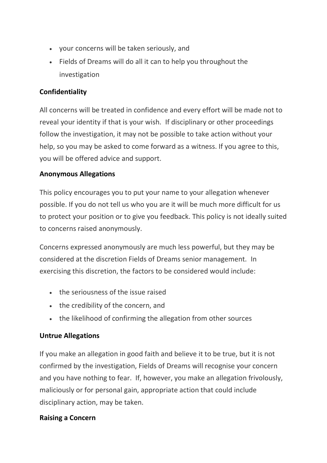- your concerns will be taken seriously, and
- Fields of Dreams will do all it can to help you throughout the investigation

### **Confidentiality**

All concerns will be treated in confidence and every effort will be made not to reveal your identity if that is your wish. If disciplinary or other proceedings follow the investigation, it may not be possible to take action without your help, so you may be asked to come forward as a witness. If you agree to this, you will be offered advice and support.

#### **Anonymous Allegations**

This policy encourages you to put your name to your allegation whenever possible. If you do not tell us who you are it will be much more difficult for us to protect your position or to give you feedback. This policy is not ideally suited to concerns raised anonymously.

Concerns expressed anonymously are much less powerful, but they may be considered at the discretion Fields of Dreams senior management. In exercising this discretion, the factors to be considered would include:

- the seriousness of the issue raised
- the credibility of the concern, and
- the likelihood of confirming the allegation from other sources

# **Untrue Allegations**

If you make an allegation in good faith and believe it to be true, but it is not confirmed by the investigation, Fields of Dreams will recognise your concern and you have nothing to fear. If, however, you make an allegation frivolously, maliciously or for personal gain, appropriate action that could include disciplinary action, may be taken.

#### **Raising a Concern**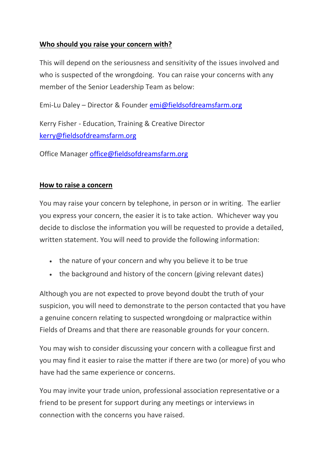#### **Who should you raise your concern with?**

This will depend on the seriousness and sensitivity of the issues involved and who is suspected of the wrongdoing. You can raise your concerns with any member of the Senior Leadership Team as below:

Emi-Lu Daley – Director & Founder [emi@fieldsofdreamsfarm.org](mailto:emi@fieldsofdreamsfarm.org)

Kerry Fisher - Education, Training & Creative Director [kerry@fieldsofdreamsfarm.org](mailto:kerry@fieldsofdreamsfarm.org)

Office Manager [office@fieldsofdreamsfarm.org](mailto:office@fieldsofdreamsfarm.org)

#### **How to raise a concern**

You may raise your concern by telephone, in person or in writing. The earlier you express your concern, the easier it is to take action. Whichever way you decide to disclose the information you will be requested to provide a detailed, written statement. You will need to provide the following information:

- the nature of your concern and why you believe it to be true
- the background and history of the concern (giving relevant dates)

Although you are not expected to prove beyond doubt the truth of your suspicion, you will need to demonstrate to the person contacted that you have a genuine concern relating to suspected wrongdoing or malpractice within Fields of Dreams and that there are reasonable grounds for your concern.

You may wish to consider discussing your concern with a colleague first and you may find it easier to raise the matter if there are two (or more) of you who have had the same experience or concerns.

You may invite your trade union, professional association representative or a friend to be present for support during any meetings or interviews in connection with the concerns you have raised.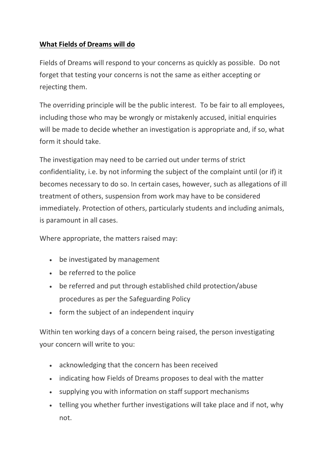# **What Fields of Dreams will do**

Fields of Dreams will respond to your concerns as quickly as possible. Do not forget that testing your concerns is not the same as either accepting or rejecting them.

The overriding principle will be the public interest. To be fair to all employees, including those who may be wrongly or mistakenly accused, initial enquiries will be made to decide whether an investigation is appropriate and, if so, what form it should take.

The investigation may need to be carried out under terms of strict confidentiality, i.e. by not informing the subject of the complaint until (or if) it becomes necessary to do so. In certain cases, however, such as allegations of ill treatment of others, suspension from work may have to be considered immediately. Protection of others, particularly students and including animals, is paramount in all cases.

Where appropriate, the matters raised may:

- be investigated by management
- be referred to the police
- be referred and put through established child protection/abuse procedures as per the Safeguarding Policy
- form the subject of an independent inquiry

Within ten working days of a concern being raised, the person investigating your concern will write to you:

- acknowledging that the concern has been received
- indicating how Fields of Dreams proposes to deal with the matter
- supplying you with information on staff support mechanisms
- telling you whether further investigations will take place and if not, why not.